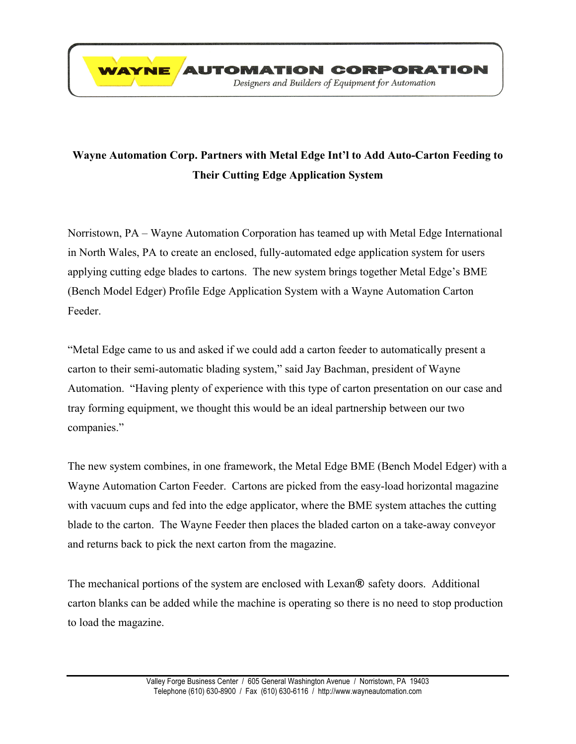

## **Wayne Automation Corp. Partners with Metal Edge Int'l to Add Auto-Carton Feeding to Their Cutting Edge Application System**

Norristown, PA – Wayne Automation Corporation has teamed up with Metal Edge International in North Wales, PA to create an enclosed, fully-automated edge application system for users applying cutting edge blades to cartons. The new system brings together Metal Edge's BME (Bench Model Edger) Profile Edge Application System with a Wayne Automation Carton Feeder.

"Metal Edge came to us and asked if we could add a carton feeder to automatically present a carton to their semi-automatic blading system," said Jay Bachman, president of Wayne Automation. "Having plenty of experience with this type of carton presentation on our case and tray forming equipment, we thought this would be an ideal partnership between our two companies."

The new system combines, in one framework, the Metal Edge BME (Bench Model Edger) with a Wayne Automation Carton Feeder. Cartons are picked from the easy-load horizontal magazine with vacuum cups and fed into the edge applicator, where the BME system attaches the cutting blade to the carton. The Wayne Feeder then places the bladed carton on a take-away conveyor and returns back to pick the next carton from the magazine.

The mechanical portions of the system are enclosed with Lexan**®** safety doors. Additional carton blanks can be added while the machine is operating so there is no need to stop production to load the magazine.